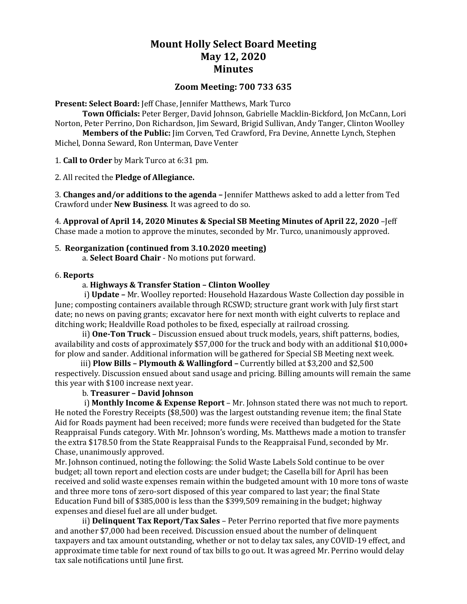# **Mount Holly Select Board Meeting May 12, 2020 Minutes**

# **Zoom Meeting: 700 733 635**

**Present: Select Board:** Jeff Chase, Jennifer Matthews, Mark Turco

**Town Officials:** Peter Berger, David Johnson, Gabrielle Macklin-Bickford, Jon McCann, Lori Norton, Peter Perrino, Don Richardson, Jim Seward, Brigid Sullivan, Andy Tanger, Clinton Woolley **Members of the Public:** Jim Corven, Ted Crawford, Fra Devine, Annette Lynch, Stephen

Michel, Donna Seward, Ron Unterman, Dave Venter

1. **Call to Order** by Mark Turco at 6:31 pm.

2. All recited the **Pledge of Allegiance.**

3. **Changes and/or additions to the agenda –** Jennifer Matthews asked to add a letter from Ted Crawford under **New Business**. It was agreed to do so.

4. **Approval of April 14, 2020 Minutes & Special SB Meeting Minutes of April 22, 2020** –Jeff Chase made a motion to approve the minutes, seconded by Mr. Turco, unanimously approved.

## 5. **Reorganization (continued from 3.10.2020 meeting)**

a. **Select Board Chair** - No motions put forward.

#### 6. **Reports**

#### a. **Highways & Transfer Station – Clinton Woolley**

i) **Update –** Mr. Woolley reported: Household Hazardous Waste Collection day possible in June; composting containers available through RCSWD; structure grant work with July first start date; no news on paving grants; excavator here for next month with eight culverts to replace and ditching work; Healdville Road potholes to be fixed, especially at railroad crossing.

ii) **One-Ton Truck** – Discussion ensued about truck models, years, shift patterns, bodies, availability and costs of approximately \$57,000 for the truck and body with an additional \$10,000+ for plow and sander. Additional information will be gathered for Special SB Meeting next week.

 iii) **Plow Bills – Plymouth & Wallingford –** Currently billed at \$3,200 and \$2,500 respectively. Discussion ensued about sand usage and pricing. Billing amounts will remain the same this year with \$100 increase next year.

#### b. **Treasurer – David Johnson**

i) **Monthly Income & Expense Report** – Mr. Johnson stated there was not much to report. He noted the Forestry Receipts (\$8,500) was the largest outstanding revenue item; the final State Aid for Roads payment had been received; more funds were received than budgeted for the State Reappraisal Funds category. With Mr. Johnson's wording, Ms. Matthews made a motion to transfer the extra \$178.50 from the State Reappraisal Funds to the Reappraisal Fund, seconded by Mr. Chase, unanimously approved.

Mr. Johnson continued, noting the following: the Solid Waste Labels Sold continue to be over budget; all town report and election costs are under budget; the Casella bill for April has been received and solid waste expenses remain within the budgeted amount with 10 more tons of waste and three more tons of zero-sort disposed of this year compared to last year; the final State Education Fund bill of \$385,000 is less than the \$399,509 remaining in the budget; highway expenses and diesel fuel are all under budget.

ii) **Delinquent Tax Report/Tax Sales** – Peter Perrino reported that five more payments and another \$7,000 had been received. Discussion ensued about the number of delinquent taxpayers and tax amount outstanding, whether or not to delay tax sales, any COVID-19 effect, and approximate time table for next round of tax bills to go out. It was agreed Mr. Perrino would delay tax sale notifications until June first.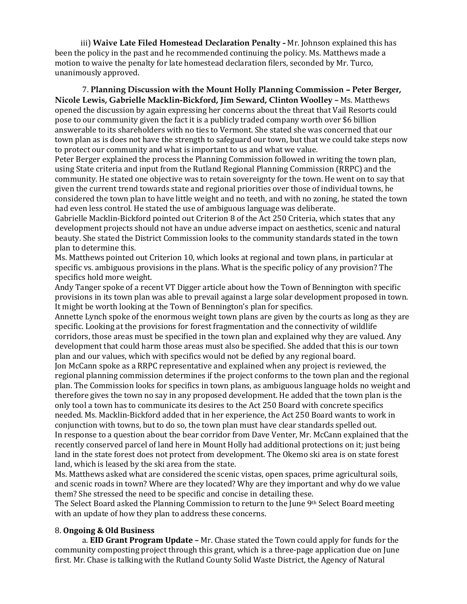iii) **Waive Late Filed Homestead Declaration Penalty -** Mr. Johnson explained this has been the policy in the past and he recommended continuing the policy. Ms. Matthews made a motion to waive the penalty for late homestead declaration filers, seconded by Mr. Turco, unanimously approved.

7. **Planning Discussion with the Mount Holly Planning Commission – Peter Berger, Nicole Lewis, Gabrielle Macklin-Bickford, Jim Seward, Clinton Woolley –** Ms. Matthews opened the discussion by again expressing her concerns about the threat that Vail Resorts could pose to our community given the fact it is a publicly traded company worth over \$6 billion answerable to its shareholders with no ties to Vermont. She stated she was concerned that our town plan as is does not have the strength to safeguard our town, but that we could take steps now to protect our community and what is important to us and what we value.

Peter Berger explained the process the Planning Commission followed in writing the town plan, using State criteria and input from the Rutland Regional Planning Commission (RRPC) and the community. He stated one objective was to retain sovereignty for the town. He went on to say that given the current trend towards state and regional priorities over those of individual towns, he considered the town plan to have little weight and no teeth, and with no zoning, he stated the town had even less control. He stated the use of ambiguous language was deliberate.

Gabrielle Macklin-Bickford pointed out Criterion 8 of the Act 250 Criteria, which states that any development projects should not have an undue adverse impact on aesthetics, scenic and natural beauty. She stated the District Commission looks to the community standards stated in the town plan to determine this.

Ms. Matthews pointed out Criterion 10, which looks at regional and town plans, in particular at specific vs. ambiguous provisions in the plans. What is the specific policy of any provision? The specifics hold more weight.

Andy Tanger spoke of a recent VT Digger article about how the Town of Bennington with specific provisions in its town plan was able to prevail against a large solar development proposed in town. It might be worth looking at the Town of Bennington's plan for specifics.

Annette Lynch spoke of the enormous weight town plans are given by the courts as long as they are specific. Looking at the provisions for forest fragmentation and the connectivity of wildlife corridors, those areas must be specified in the town plan and explained why they are valued. Any development that could harm those areas must also be specified. She added that this is our town plan and our values, which with specifics would not be defied by any regional board.

Jon McCann spoke as a RRPC representative and explained when any project is reviewed, the regional planning commission determines if the project conforms to the town plan and the regional plan. The Commission looks for specifics in town plans, as ambiguous language holds no weight and therefore gives the town no say in any proposed development. He added that the town plan is the only tool a town has to communicate its desires to the Act 250 Board with concrete specifics needed. Ms. Macklin-Bickford added that in her experience, the Act 250 Board wants to work in conjunction with towns, but to do so, the town plan must have clear standards spelled out. In response to a question about the bear corridor from Dave Venter, Mr. McCann explained that the recently conserved parcel of land here in Mount Holly had additional protections on it; just being land in the state forest does not protect from development. The Okemo ski area is on state forest land, which is leased by the ski area from the state.

Ms. Matthews asked what are considered the scenic vistas, open spaces, prime agricultural soils, and scenic roads in town? Where are they located? Why are they important and why do we value them? She stressed the need to be specific and concise in detailing these.

The Select Board asked the Planning Commission to return to the June 9th Select Board meeting with an update of how they plan to address these concerns.

## 8. **Ongoing & Old Business**

a. **EID Grant Program Update –** Mr. Chase stated the Town could apply for funds for the community composting project through this grant, which is a three-page application due on June first. Mr. Chase is talking with the Rutland County Solid Waste District, the Agency of Natural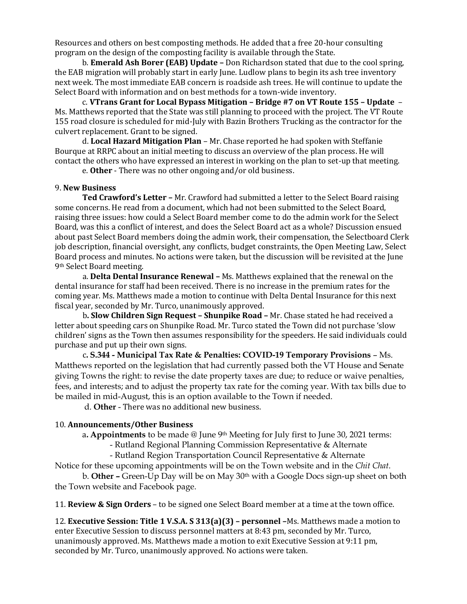Resources and others on best composting methods. He added that a free 20-hour consulting program on the design of the composting facility is available through the State.

b. **Emerald Ash Borer (EAB) Update –** Don Richardson stated that due to the cool spring, the EAB migration will probably start in early June. Ludlow plans to begin its ash tree inventory next week. The most immediate EAB concern is roadside ash trees. He will continue to update the Select Board with information and on best methods for a town-wide inventory.

c. **VTrans Grant for Local Bypass Mitigation – Bridge #7 on VT Route 155 – Update** – Ms. Matthews reported that the State was still planning to proceed with the project. The VT Route 155 road closure is scheduled for mid-July with Bazin Brothers Trucking as the contractor for the culvert replacement. Grant to be signed.

d. **Local Hazard Mitigation Plan** – Mr. Chase reported he had spoken with Steffanie Bourque at RRPC about an initial meeting to discuss an overview of the plan process. He will contact the others who have expressed an interest in working on the plan to set-up that meeting.

e. **Other** - There was no other ongoing and/or old business.

#### 9. **New Business**

**Ted Crawford's Letter –** Mr. Crawford had submitted a letter to the Select Board raising some concerns. He read from a document, which had not been submitted to the Select Board, raising three issues: how could a Select Board member come to do the admin work for the Select Board, was this a conflict of interest, and does the Select Board act as a whole? Discussion ensued about past Select Board members doing the admin work, their compensation, the Selectboard Clerk job description, financial oversight, any conflicts, budget constraints, the Open Meeting Law, Select Board process and minutes. No actions were taken, but the discussion will be revisited at the June 9th Select Board meeting.

a. **Delta Dental Insurance Renewal –** Ms. Matthews explained that the renewal on the dental insurance for staff had been received. There is no increase in the premium rates for the coming year. Ms. Matthews made a motion to continue with Delta Dental Insurance for this next fiscal year, seconded by Mr. Turco, unanimously approved.

b**. Slow Children Sign Request – Shunpike Road –** Mr. Chase stated he had received a letter about speeding cars on Shunpike Road. Mr. Turco stated the Town did not purchase 'slow children' signs as the Town then assumes responsibility for the speeders. He said individuals could purchase and put up their own signs.

 c**. S.344 - Municipal Tax Rate & Penalties: COVID-19 Temporary Provisions** – Ms. Matthews reported on the legislation that had currently passed both the VT House and Senate giving Towns the right: to revise the date property taxes are due; to reduce or waive penalties, fees, and interests; and to adjust the property tax rate for the coming year. With tax bills due to be mailed in mid-August, this is an option available to the Town if needed.

d. **Other** - There was no additional new business.

#### 10. **Announcements/Other Business**

a**. Appointments** to be made @ June 9th Meeting for July first to June 30, 2021 terms:

- Rutland Regional Planning Commission Representative & Alternate

- Rutland Region Transportation Council Representative & Alternate

Notice for these upcoming appointments will be on the Town website and in the *Chit Chat*.

b. **Other –** Green-Up Day will be on May 30th with a Google Docs sign-up sheet on both the Town website and Facebook page.

11. **Review & Sign Orders** – to be signed one Select Board member at a time at the town office.

12. **Executive Session: Title 1 V.S.A. S 313(a)(3) – personnel –**Ms. Matthews made a motion to enter Executive Session to discuss personnel matters at 8:43 pm, seconded by Mr. Turco, unanimously approved. Ms. Matthews made a motion to exit Executive Session at 9:11 pm, seconded by Mr. Turco, unanimously approved. No actions were taken.